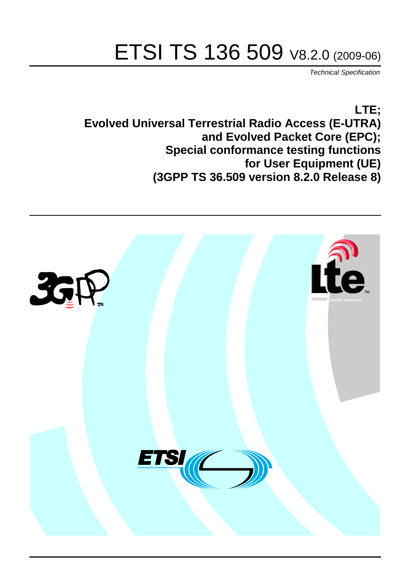# ETSI TS 136 509 V8.2.0 (2009-06)

*Technical Specification*

**LTE; Evolved Universal Terrestrial Radio Access (E-UTRA) and Evolved Packet Core (EPC); Special conformance testing functions for User Equipment (UE) (3GPP TS 36.509 version 8.2.0 Release 8)**

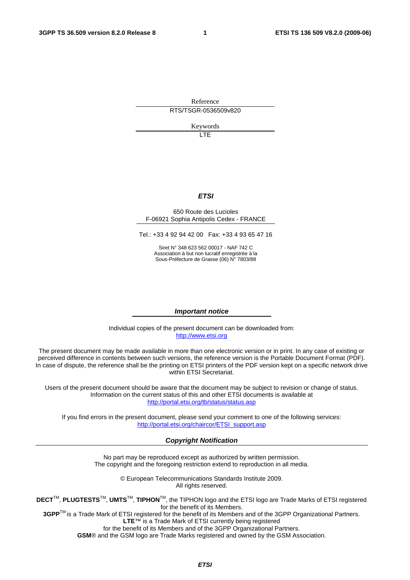Reference RTS/TSGR-0536509v820

Keywords

**TE** 

#### *ETSI*

#### 650 Route des Lucioles F-06921 Sophia Antipolis Cedex - FRANCE

Tel.: +33 4 92 94 42 00 Fax: +33 4 93 65 47 16

Siret N° 348 623 562 00017 - NAF 742 C Association à but non lucratif enregistrée à la Sous-Préfecture de Grasse (06) N° 7803/88

#### *Important notice*

Individual copies of the present document can be downloaded from: [http://www.etsi.org](http://www.etsi.org/)

The present document may be made available in more than one electronic version or in print. In any case of existing or perceived difference in contents between such versions, the reference version is the Portable Document Format (PDF). In case of dispute, the reference shall be the printing on ETSI printers of the PDF version kept on a specific network drive within ETSI Secretariat.

Users of the present document should be aware that the document may be subject to revision or change of status. Information on the current status of this and other ETSI documents is available at <http://portal.etsi.org/tb/status/status.asp>

If you find errors in the present document, please send your comment to one of the following services: [http://portal.etsi.org/chaircor/ETSI\\_support.asp](http://portal.etsi.org/chaircor/ETSI_support.asp)

#### *Copyright Notification*

No part may be reproduced except as authorized by written permission. The copyright and the foregoing restriction extend to reproduction in all media.

> © European Telecommunications Standards Institute 2009. All rights reserved.

**DECT**TM, **PLUGTESTS**TM, **UMTS**TM, **TIPHON**TM, the TIPHON logo and the ETSI logo are Trade Marks of ETSI registered for the benefit of its Members.

**3GPP**TM is a Trade Mark of ETSI registered for the benefit of its Members and of the 3GPP Organizational Partners. **LTE**™ is a Trade Mark of ETSI currently being registered

for the benefit of its Members and of the 3GPP Organizational Partners.

**GSM**® and the GSM logo are Trade Marks registered and owned by the GSM Association.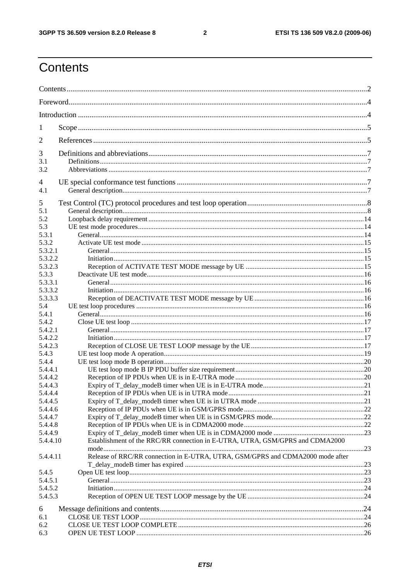$\overline{\mathbf{2}}$ 

# Contents

| 1          |                                                                                |  |
|------------|--------------------------------------------------------------------------------|--|
| 2          |                                                                                |  |
| 3          |                                                                                |  |
| 3.1<br>3.2 |                                                                                |  |
| 4          |                                                                                |  |
| 4.1        |                                                                                |  |
| 5          |                                                                                |  |
| 5.1        |                                                                                |  |
| 5.2        |                                                                                |  |
| 5.3        |                                                                                |  |
| 5.3.1      |                                                                                |  |
| 5.3.2      |                                                                                |  |
| 5.3.2.1    |                                                                                |  |
| 5.3.2.2    |                                                                                |  |
| 5.3.2.3    |                                                                                |  |
|            |                                                                                |  |
| 5.3.3      |                                                                                |  |
| 5.3.3.1    |                                                                                |  |
| 5.3.3.2    |                                                                                |  |
| 5.3.3.3    |                                                                                |  |
| 5.4        |                                                                                |  |
| 5.4.1      |                                                                                |  |
| 5.4.2      |                                                                                |  |
| 5.4.2.1    |                                                                                |  |
| 5.4.2.2    |                                                                                |  |
| 5.4.2.3    |                                                                                |  |
| 5.4.3      |                                                                                |  |
| 5.4.4      |                                                                                |  |
|            |                                                                                |  |
| 5.4.4.1    |                                                                                |  |
| 5.4.4.2    |                                                                                |  |
| 5.4.4.3    |                                                                                |  |
| 5.4.4.4    |                                                                                |  |
| 5.4.4.5    |                                                                                |  |
| 5.4.4.6    |                                                                                |  |
| 5.4.4.7    |                                                                                |  |
| 5.4.4.8    |                                                                                |  |
| 5.4.4.9    |                                                                                |  |
| 5.4.4.10   | Establishment of the RRC/RR connection in E-UTRA, UTRA, GSM/GPRS and CDMA2000  |  |
| 5.4.4.11   | Release of RRC/RR connection in E-UTRA, UTRA, GSM/GPRS and CDMA2000 mode after |  |
|            |                                                                                |  |
| 5.4.5      |                                                                                |  |
| 5.4.5.1    |                                                                                |  |
| 5.4.5.2    |                                                                                |  |
| 5.4.5.3    |                                                                                |  |
|            |                                                                                |  |
| 6          |                                                                                |  |
| 6.1        |                                                                                |  |
| 6.2        |                                                                                |  |
| 6.3        |                                                                                |  |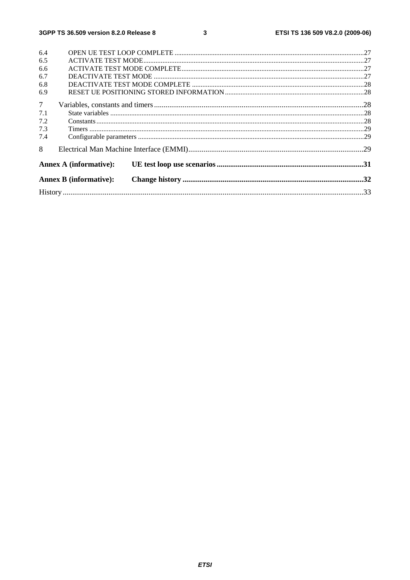| 6.4            |                               |  |
|----------------|-------------------------------|--|
| 6.5            |                               |  |
| 6.6            |                               |  |
| 6.7            |                               |  |
| 6.8            |                               |  |
| 6.9            |                               |  |
| 7 <sup>7</sup> |                               |  |
| 7.1            |                               |  |
| 7.2            |                               |  |
| 7.3            |                               |  |
| 7.4            |                               |  |
| 8              |                               |  |
|                | <b>Annex A (informative):</b> |  |
|                | <b>Annex B</b> (informative): |  |
|                |                               |  |
|                |                               |  |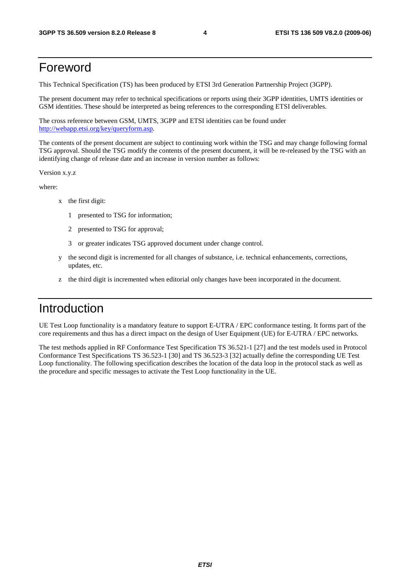### Foreword

This Technical Specification (TS) has been produced by ETSI 3rd Generation Partnership Project (3GPP).

The present document may refer to technical specifications or reports using their 3GPP identities, UMTS identities or GSM identities. These should be interpreted as being references to the corresponding ETSI deliverables.

The cross reference between GSM, UMTS, 3GPP and ETSI identities can be found under <http://webapp.etsi.org/key/queryform.asp>.

The contents of the present document are subject to continuing work within the TSG and may change following formal TSG approval. Should the TSG modify the contents of the present document, it will be re-released by the TSG with an identifying change of release date and an increase in version number as follows:

Version x.y.z

where:

- x the first digit:
	- 1 presented to TSG for information;
	- 2 presented to TSG for approval;
	- 3 or greater indicates TSG approved document under change control.
- y the second digit is incremented for all changes of substance, i.e. technical enhancements, corrections, updates, etc.
- the third digit is incremented when editorial only changes have been incorporated in the document.

# Introduction

UE Test Loop functionality is a mandatory feature to support E-UTRA / EPC conformance testing. It forms part of the core requirements and thus has a direct impact on the design of User Equipment (UE) for E-UTRA / EPC networks.

The test methods applied in RF Conformance Test Specification TS 36.521-1 [27] and the test models used in Protocol Conformance Test Specifications TS 36.523-1 [30] and TS 36.523-3 [32] actually define the corresponding UE Test Loop functionality. The following specification describes the location of the data loop in the protocol stack as well as the procedure and specific messages to activate the Test Loop functionality in the UE.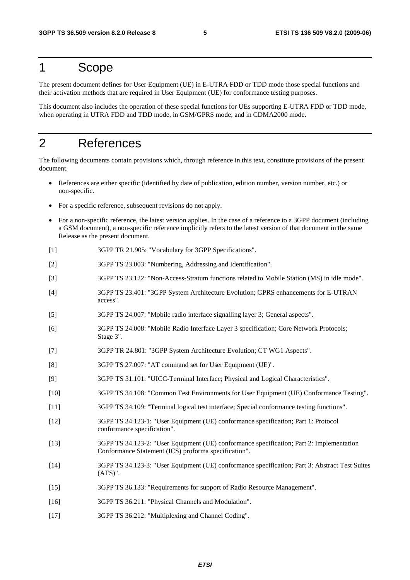# 1 Scope

The present document defines for User Equipment (UE) in E-UTRA FDD or TDD mode those special functions and their activation methods that are required in User Equipment (UE) for conformance testing purposes.

This document also includes the operation of these special functions for UEs supporting E-UTRA FDD or TDD mode, when operating in UTRA FDD and TDD mode, in GSM/GPRS mode, and in CDMA2000 mode.

# 2 References

The following documents contain provisions which, through reference in this text, constitute provisions of the present document.

- References are either specific (identified by date of publication, edition number, version number, etc.) or non-specific.
- For a specific reference, subsequent revisions do not apply.
- For a non-specific reference, the latest version applies. In the case of a reference to a 3GPP document (including a GSM document), a non-specific reference implicitly refers to the latest version of that document in the same Release as the present document.
- [1] 3GPP TR 21.905: "Vocabulary for 3GPP Specifications".
- [2] 3GPP TS 23.003: "Numbering, Addressing and Identification".
- [3] 3GPP TS 23.122: "Non-Access-Stratum functions related to Mobile Station (MS) in idle mode".
- [4] 3GPP TS 23.401: "3GPP System Architecture Evolution; GPRS enhancements for E-UTRAN access".
- [5] 3GPP TS 24.007: "Mobile radio interface signalling layer 3; General aspects".
- [6] 3GPP TS 24.008: "Mobile Radio Interface Layer 3 specification; Core Network Protocols; Stage 3".
- [7] 3GPP TR 24.801: "3GPP System Architecture Evolution; CT WG1 Aspects".
- [8] 3GPP TS 27.007: "AT command set for User Equipment (UE)".
- [9] 3GPP TS 31.101: "UICC-Terminal Interface; Physical and Logical Characteristics".
- [10] 3GPP TS 34.108: "Common Test Environments for User Equipment (UE) Conformance Testing".
- [11] 3GPP TS 34.109: "Terminal logical test interface; Special conformance testing functions".
- [12] 3GPP TS 34.123-1: "User Equipment (UE) conformance specification; Part 1: Protocol conformance specification".
- [13] 3GPP TS 34.123-2: "User Equipment (UE) conformance specification; Part 2: Implementation Conformance Statement (ICS) proforma specification".
- [14] 3GPP TS 34.123-3: "User Equipment (UE) conformance specification; Part 3: Abstract Test Suites (ATS)".
- [15] 3GPP TS 36.133: "Requirements for support of Radio Resource Management".
- [16] 3GPP TS 36.211: "Physical Channels and Modulation".
- [17] 3GPP TS 36.212: "Multiplexing and Channel Coding".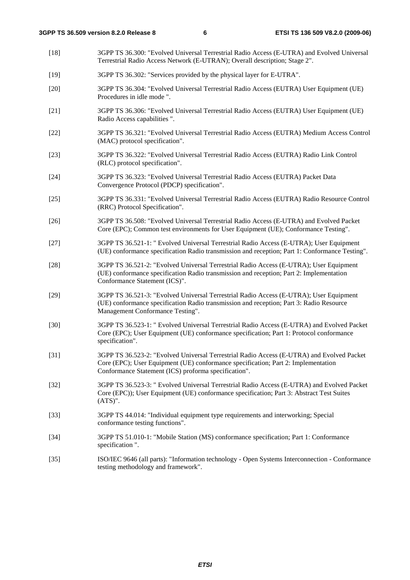[18] 3GPP TS 36.300: "Evolved Universal Terrestrial Radio Access (E-UTRA) and Evolved Universal Terrestrial Radio Access Network (E-UTRAN); Overall description; Stage 2". [19] 3GPP TS 36.302: "Services provided by the physical layer for E-UTRA". [20] 3GPP TS 36.304: "Evolved Universal Terrestrial Radio Access (EUTRA) User Equipment (UE) Procedures in idle mode ". [21] 3GPP TS 36.306: "Evolved Universal Terrestrial Radio Access (EUTRA) User Equipment (UE) Radio Access capabilities ". [22] 3GPP TS 36.321: "Evolved Universal Terrestrial Radio Access (EUTRA) Medium Access Control (MAC) protocol specification". [23] 3GPP TS 36.322: "Evolved Universal Terrestrial Radio Access (EUTRA) Radio Link Control (RLC) protocol specification". [24] 3GPP TS 36.323: "Evolved Universal Terrestrial Radio Access (EUTRA) Packet Data Convergence Protocol (PDCP) specification". [25] 3GPP TS 36.331: "Evolved Universal Terrestrial Radio Access (EUTRA) Radio Resource Control (RRC) Protocol Specification". [26] 3GPP TS 36.508: "Evolved Universal Terrestrial Radio Access (E-UTRA) and Evolved Packet Core (EPC); Common test environments for User Equipment (UE); Conformance Testing". [27] 3GPP TS 36.521-1: " Evolved Universal Terrestrial Radio Access (E-UTRA); User Equipment (UE) conformance specification Radio transmission and reception; Part 1: Conformance Testing". [28] 3GPP TS 36.521-2: "Evolved Universal Terrestrial Radio Access (E-UTRA); User Equipment (UE) conformance specification Radio transmission and reception; Part 2: Implementation Conformance Statement (ICS)". [29] 3GPP TS 36.521-3: "Evolved Universal Terrestrial Radio Access (E-UTRA); User Equipment (UE) conformance specification Radio transmission and reception; Part 3: Radio Resource Management Conformance Testing". [30] 3GPP TS 36.523-1: " Evolved Universal Terrestrial Radio Access (E-UTRA) and Evolved Packet Core (EPC); User Equipment (UE) conformance specification; Part 1: Protocol conformance specification". [31] 3GPP TS 36.523-2: "Evolved Universal Terrestrial Radio Access (E-UTRA) and Evolved Packet Core (EPC); User Equipment (UE) conformance specification; Part 2: Implementation Conformance Statement (ICS) proforma specification". [32] 3GPP TS 36.523-3: " Evolved Universal Terrestrial Radio Access (E-UTRA) and Evolved Packet Core (EPC)); User Equipment (UE) conformance specification; Part 3: Abstract Test Suites (ATS)". [33] 3GPP TS 44.014: "Individual equipment type requirements and interworking; Special conformance testing functions". [34] 3GPP TS 51.010-1: "Mobile Station (MS) conformance specification; Part 1: Conformance specification ". [35] ISO/IEC 9646 (all parts): "Information technology - Open Systems Interconnection - Conformance testing methodology and framework".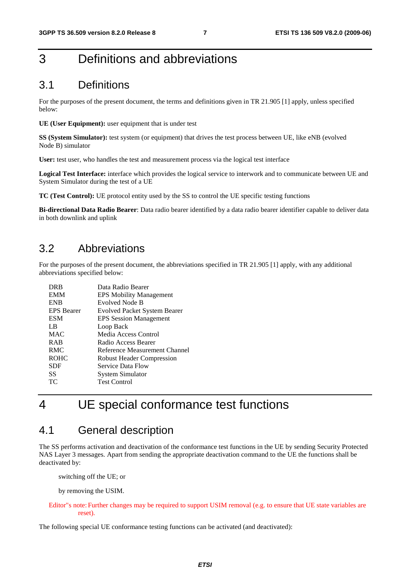# 3 Definitions and abbreviations

### 3.1 Definitions

For the purposes of the present document, the terms and definitions given in TR 21.905 [1] apply, unless specified below:

**UE (User Equipment):** user equipment that is under test

**SS (System Simulator):** test system (or equipment) that drives the test process between UE, like eNB (evolved Node B) simulator

User: test user, who handles the test and measurement process via the logical test interface

**Logical Test Interface:** interface which provides the logical service to interwork and to communicate between UE and System Simulator during the test of a UE

**TC (Test Control):** UE protocol entity used by the SS to control the UE specific testing functions

**Bi-directional Data Radio Bearer**: Data radio bearer identified by a data radio bearer identifier capable to deliver data in both downlink and uplink

### 3.2 Abbreviations

For the purposes of the present document, the abbreviations specified in TR 21.905 [1] apply, with any additional abbreviations specified below:

| <b>DRB</b>        | Data Radio Bearer                   |
|-------------------|-------------------------------------|
| <b>EMM</b>        | <b>EPS Mobility Management</b>      |
| <b>ENB</b>        | Evolved Node B                      |
| <b>EPS</b> Bearer | <b>Evolved Packet System Bearer</b> |
| <b>ESM</b>        | <b>EPS</b> Session Management       |
| L B               | Loop Back                           |
| <b>MAC</b>        | Media Access Control                |
| <b>RAB</b>        | Radio Access Bearer                 |
| <b>RMC</b>        | Reference Measurement Channel       |
| <b>ROHC</b>       | <b>Robust Header Compression</b>    |
| <b>SDF</b>        | Service Data Flow                   |
| SS                | System Simulator                    |
| ТC                | <b>Test Control</b>                 |
|                   |                                     |

# 4 UE special conformance test functions

### 4.1 General description

The SS performs activation and deactivation of the conformance test functions in the UE by sending Security Protected NAS Layer 3 messages. Apart from sending the appropriate deactivation command to the UE the functions shall be deactivated by:

switching off the UE; or

by removing the USIM.

#### Editor"s note: Further changes may be required to support USIM removal (e.g. to ensure that UE state variables are reset).

The following special UE conformance testing functions can be activated (and deactivated):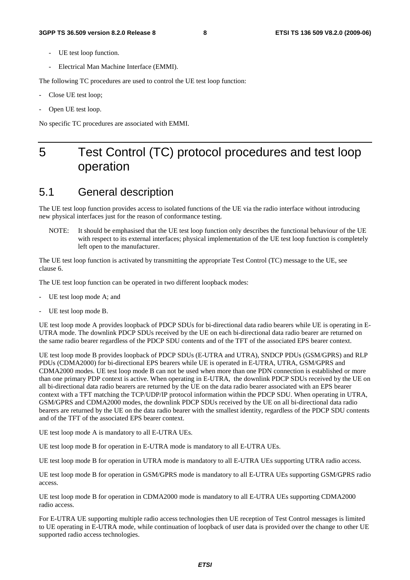- UE test loop function.
- Electrical Man Machine Interface (EMMI).

The following TC procedures are used to control the UE test loop function:

- Close UE test loop;
- Open UE test loop.

No specific TC procedures are associated with EMMI.

# 5 Test Control (TC) protocol procedures and test loop operation

### 5.1 General description

The UE test loop function provides access to isolated functions of the UE via the radio interface without introducing new physical interfaces just for the reason of conformance testing.

NOTE: It should be emphasised that the UE test loop function only describes the functional behaviour of the UE with respect to its external interfaces; physical implementation of the UE test loop function is completely left open to the manufacturer.

The UE test loop function is activated by transmitting the appropriate Test Control (TC) message to the UE, see clause 6.

The UE test loop function can be operated in two different loopback modes:

- UE test loop mode A; and
- UE test loop mode B.

UE test loop mode A provides loopback of PDCP SDUs for bi-directional data radio bearers while UE is operating in E-UTRA mode. The downlink PDCP SDUs received by the UE on each bi-directional data radio bearer are returned on the same radio bearer regardless of the PDCP SDU contents and of the TFT of the associated EPS bearer context.

UE test loop mode B provides loopback of PDCP SDUs (E-UTRA and UTRA), SNDCP PDUs (GSM/GPRS) and RLP PDUs (CDMA2000) for bi-directional EPS bearers while UE is operated in E-UTRA, UTRA, GSM/GPRS and CDMA2000 modes. UE test loop mode B can not be used when more than one PDN connection is established or more than one primary PDP context is active. When operating in E-UTRA, the downlink PDCP SDUs received by the UE on all bi-directional data radio bearers are returned by the UE on the data radio bearer associated with an EPS bearer context with a TFT matching the TCP/UDP/IP protocol information within the PDCP SDU. When operating in UTRA, GSM/GPRS and CDMA2000 modes, the downlink PDCP SDUs received by the UE on all bi-directional data radio bearers are returned by the UE on the data radio bearer with the smallest identity, regardless of the PDCP SDU contents and of the TFT of the associated EPS bearer context.

UE test loop mode A is mandatory to all E-UTRA UEs.

UE test loop mode B for operation in E-UTRA mode is mandatory to all E-UTRA UEs.

UE test loop mode B for operation in UTRA mode is mandatory to all E-UTRA UEs supporting UTRA radio access.

UE test loop mode B for operation in GSM/GPRS mode is mandatory to all E-UTRA UEs supporting GSM/GPRS radio access.

UE test loop mode B for operation in CDMA2000 mode is mandatory to all E-UTRA UEs supporting CDMA2000 radio access.

For E-UTRA UE supporting multiple radio access technologies then UE reception of Test Control messages is limited to UE operating in E-UTRA mode, while continuation of loopback of user data is provided over the change to other UE supported radio access technologies.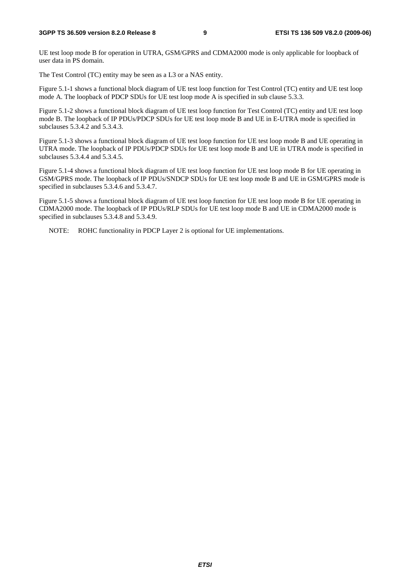UE test loop mode B for operation in UTRA, GSM/GPRS and CDMA2000 mode is only applicable for loopback of user data in PS domain.

The Test Control (TC) entity may be seen as a L3 or a NAS entity.

Figure 5.1-1 shows a functional block diagram of UE test loop function for Test Control (TC) entity and UE test loop mode A. The loopback of PDCP SDUs for UE test loop mode A is specified in sub clause 5.3.3.

Figure 5.1-2 shows a functional block diagram of UE test loop function for Test Control (TC) entity and UE test loop mode B. The loopback of IP PDUs/PDCP SDUs for UE test loop mode B and UE in E-UTRA mode is specified in subclauses 5.3.4.2 and 5.3.4.3.

Figure 5.1-3 shows a functional block diagram of UE test loop function for UE test loop mode B and UE operating in UTRA mode. The loopback of IP PDUs/PDCP SDUs for UE test loop mode B and UE in UTRA mode is specified in subclauses 5.3.4.4 and 5.3.4.5.

Figure 5.1-4 shows a functional block diagram of UE test loop function for UE test loop mode B for UE operating in GSM/GPRS mode. The loopback of IP PDUs/SNDCP SDUs for UE test loop mode B and UE in GSM/GPRS mode is specified in subclauses 5.3.4.6 and 5.3.4.7.

Figure 5.1-5 shows a functional block diagram of UE test loop function for UE test loop mode B for UE operating in CDMA2000 mode. The loopback of IP PDUs/RLP SDUs for UE test loop mode B and UE in CDMA2000 mode is specified in subclauses 5.3.4.8 and 5.3.4.9.

NOTE: ROHC functionality in PDCP Layer 2 is optional for UE implementations.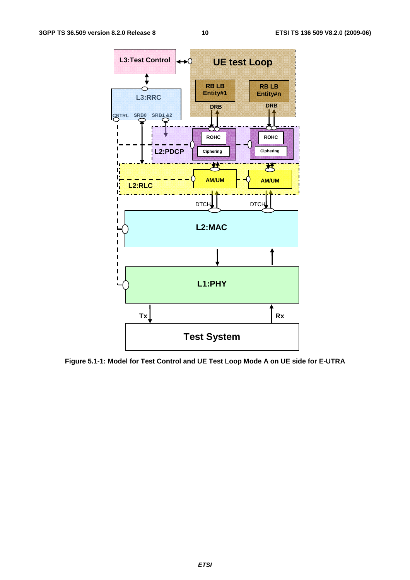

**Figure 5.1-1: Model for Test Control and UE Test Loop Mode A on UE side for E-UTRA**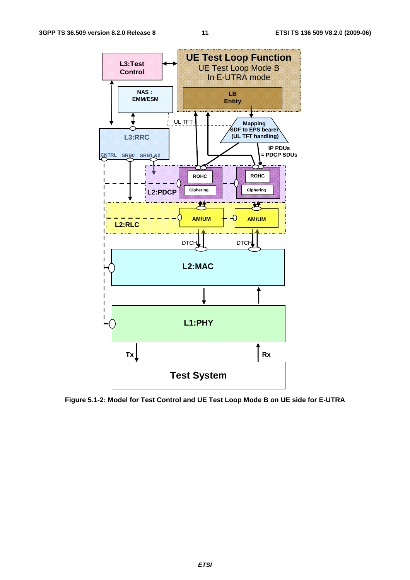

**Figure 5.1-2: Model for Test Control and UE Test Loop Mode B on UE side for E-UTRA**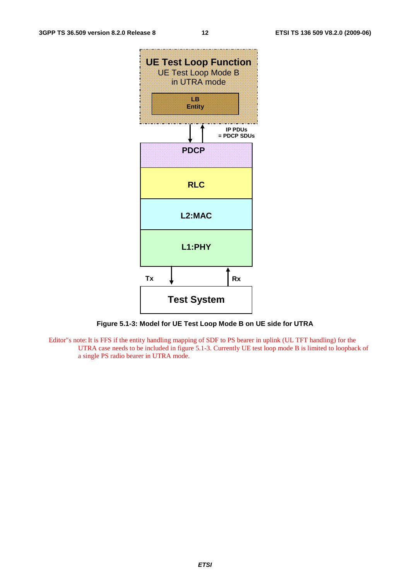

**Figure 5.1-3: Model for UE Test Loop Mode B on UE side for UTRA** 

Editor"s note: It is FFS if the entity handling mapping of SDF to PS bearer in uplink (UL TFT handling) for the UTRA case needs to be included in figure 5.1-3. Currently UE test loop mode B is limited to loopback of a single PS radio bearer in UTRA mode.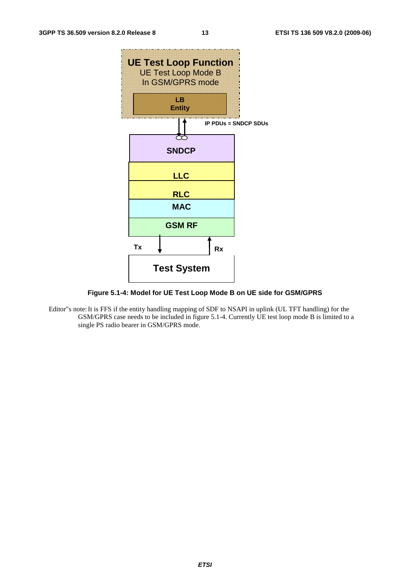

**Figure 5.1-4: Model for UE Test Loop Mode B on UE side for GSM/GPRS** 

Editor"s note: It is FFS if the entity handling mapping of SDF to NSAPI in uplink (UL TFT handling) for the GSM/GPRS case needs to be included in figure 5.1-4. Currently UE test loop mode B is limited to a single PS radio bearer in GSM/GPRS mode.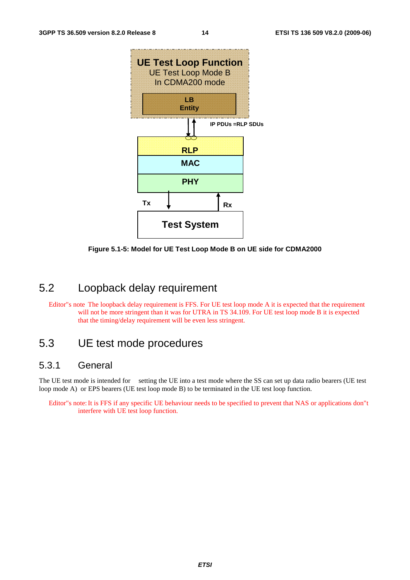

**Figure 5.1-5: Model for UE Test Loop Mode B on UE side for CDMA2000** 

### 5.2 Loopback delay requirement

Editor"s note The loopback delay requirement is FFS. For UE test loop mode A it is expected that the requirement will not be more stringent than it was for UTRA in TS 34.109. For UE test loop mode B it is expected that the timing/delay requirement will be even less stringent.

### 5.3 UE test mode procedures

#### 5.3.1 General

The UE test mode is intended for setting the UE into a test mode where the SS can set up data radio bearers (UE test loop mode A) or EPS bearers (UE test loop mode B) to be terminated in the UE test loop function.

Editor"s note: It is FFS if any specific UE behaviour needs to be specified to prevent that NAS or applications don"t interfere with UE test loop function.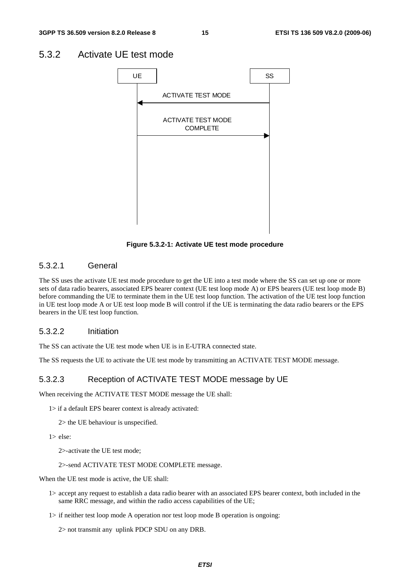### 5.3.2 Activate UE test mode



**Figure 5.3.2-1: Activate UE test mode procedure** 

#### 5.3.2.1 General

The SS uses the activate UE test mode procedure to get the UE into a test mode where the SS can set up one or more sets of data radio bearers, associated EPS bearer context (UE test loop mode A) or EPS bearers (UE test loop mode B) before commanding the UE to terminate them in the UE test loop function. The activation of the UE test loop function in UE test loop mode A or UE test loop mode B will control if the UE is terminating the data radio bearers or the EPS bearers in the UE test loop function.

#### 5.3.2.2 Initiation

The SS can activate the UE test mode when UE is in E-UTRA connected state.

The SS requests the UE to activate the UE test mode by transmitting an ACTIVATE TEST MODE message.

#### 5.3.2.3 Reception of ACTIVATE TEST MODE message by UE

When receiving the ACTIVATE TEST MODE message the UE shall:

1> if a default EPS bearer context is already activated:

2> the UE behaviour is unspecified.

1> else:

2>- activate the UE test mode;

#### 2>- send ACTIVATE TEST MODE COMPLETE message.

When the UE test mode is active, the UE shall:

- 1> accept any request to establish a data radio bearer with an associated EPS bearer context, both included in the same RRC message, and within the radio access capabilities of the UE;
- 1> if neither test loop mode A operation nor test loop mode B operation is ongoing:

2> not transmit any uplink PDCP SDU on any DRB.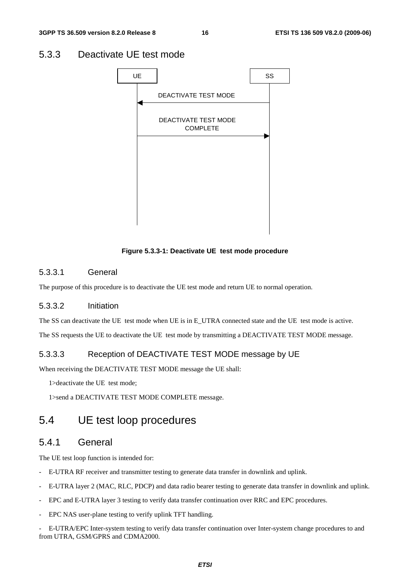### 5.3.3 Deactivate UE test mode



**Figure 5.3.3-1: Deactivate UE test mode procedure** 

#### 5.3.3.1 General

The purpose of this procedure is to deactivate the UE test mode and return UE to normal operation.

#### 5.3.3.2 Initiation

The SS can deactivate the UE test mode when UE is in E\_UTRA connected state and the UE test mode is active. The SS requests the UE to deactivate the UE test mode by transmitting a DEACTIVATE TEST MODE message.

#### 5.3.3.3 Reception of DEACTIVATE TEST MODE message by UE

When receiving the DEACTIVATE TEST MODE message the UE shall:

1>deactivate the UE test mode;

1>send a DEACTIVATE TEST MODE COMPLETE message.

### 5.4 UE test loop procedures

### 5.4.1 General

The UE test loop function is intended for:

- E-UTRA RF receiver and transmitter testing to generate data transfer in downlink and uplink.
- E-UTRA layer 2 (MAC, RLC, PDCP) and data radio bearer testing to generate data transfer in downlink and uplink.
- EPC and E-UTRA layer 3 testing to verify data transfer continuation over RRC and EPC procedures.
- EPC NAS user-plane testing to verify uplink TFT handling.

- E-UTRA/EPC Inter-system testing to verify data transfer continuation over Inter-system change procedures to and from UTRA, GSM/GPRS and CDMA2000.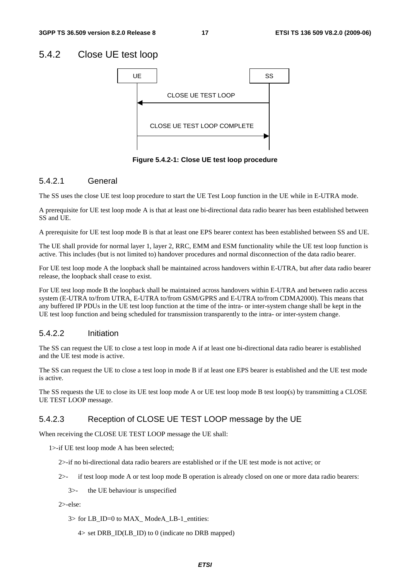### 5.4.2 Close UE test loop



**Figure 5.4.2-1: Close UE test loop procedure** 

#### 5.4.2.1 General

The SS uses the close UE test loop procedure to start the UE Test Loop function in the UE while in E-UTRA mode.

A prerequisite for UE test loop mode A is that at least one bi-directional data radio bearer has been established between SS and UE.

A prerequisite for UE test loop mode B is that at least one EPS bearer context has been established between SS and UE.

The UE shall provide for normal layer 1, layer 2, RRC, EMM and ESM functionality while the UE test loop function is active. This includes (but is not limited to) handover procedures and normal disconnection of the data radio bearer.

For UE test loop mode A the loopback shall be maintained across handovers within E-UTRA, but after data radio bearer release, the loopback shall cease to exist.

For UE test loop mode B the loopback shall be maintained across handovers within E-UTRA and between radio access system (E-UTRA to/from UTRA, E-UTRA to/from GSM/GPRS and E-UTRA to/from CDMA2000). This means that any buffered IP PDUs in the UE test loop function at the time of the intra- or inter-system change shall be kept in the UE test loop function and being scheduled for transmission transparently to the intra- or inter-system change.

#### 5.4.2.2 Initiation

The SS can request the UE to close a test loop in mode A if at least one bi-directional data radio bearer is established and the UE test mode is active.

The SS can request the UE to close a test loop in mode B if at least one EPS bearer is established and the UE test mode is active.

The SS requests the UE to close its UE test loop mode A or UE test loop mode B test loop(s) by transmitting a CLOSE UE TEST LOOP message.

#### 5.4.2.3 Reception of CLOSE UE TEST LOOP message by the UE

When receiving the CLOSE UE TEST LOOP message the UE shall:

1>- if UE test loop mode A has been selected;

2>- if no bi-directional data radio bearers are established or if the UE test mode is not active; or

2>- if test loop mode A or test loop mode B operation is already closed on one or more data radio bearers:

3>- the UE behaviour is unspecified

 $2$  >-else:

3> for LB\_ID=0 to MAX\_ ModeA\_LB-1\_entities:

4> set DRB\_ID(LB\_ID) to 0 (indicate no DRB mapped)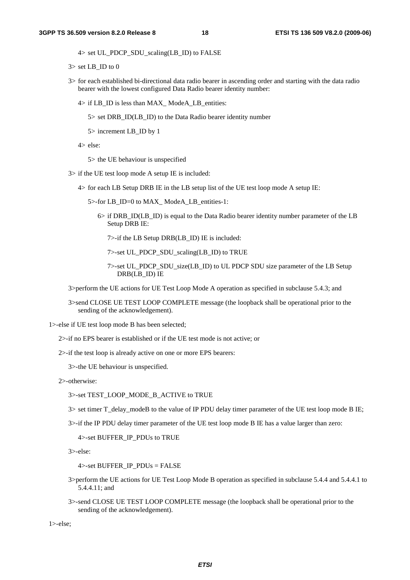$4>$  set UL\_PDCP\_SDU\_scaling(LB\_ID) to FALSE

- $3>$  set LB\_ID to 0
- 3> for each established bi-directional data radio bearer in ascending order and starting with the data radio bearer with the lowest configured Data Radio bearer identity number:
	- 4> if LB\_ID is less than MAX\_ ModeA\_LB\_entities:
		- 5> set DRB\_ID(LB\_ID) to the Data Radio bearer identity number
		- 5> increment LB\_ID by 1
	- 4> else:
		- 5> the UE behaviour is unspecified
- 3> if the UE test loop mode A setup IE is included:
	- 4> for each LB Setup DRB IE in the LB setup list of the UE test loop mode A setup IE:
		- 5>-for LB ID=0 to MAX ModeA LB entities-1:
			- $6$  if DRB ID(LB ID) is equal to the Data Radio bearer identity number parameter of the LB Setup DRB IE:
				- 7>- if the LB Setup DRB(LB\_ID) IE is included:
				- 7>- set UL\_PDCP\_SDU\_scaling(LB\_ID) to TRUE
				- 7>- set UL\_PDCP\_SDU\_size(LB\_ID) to UL PDCP SDU size parameter of the LB Setup DRB(LB\_ID) IE
- 3>perform the UE actions for UE Test Loop Mode A operation as specified in subclause 5.4.3; and
- 3>send CLOSE UE TEST LOOP COMPLETE message (the loopback shall be operational prior to the sending of the acknowledgement).

1>- else if UE test loop mode B has been selected;

- 2>- if no EPS bearer is established or if the UE test mode is not active; or
- 2>- if the test loop is already active on one or more EPS bearers:
	- 3>- the UE behaviour is unspecified.
- 2>- otherwise:

#### 3>- set TEST\_LOOP\_MODE\_B\_ACTIVE to TRUE

- 3> set timer T\_delay\_modeB to the value of IP PDU delay timer parameter of the UE test loop mode B IE;
- 3>- if the IP PDU delay timer parameter of the UE test loop mode B IE has a value larger than zero:

4>- set BUFFER\_IP\_PDUs to TRUE

3>- else:

 $4$  >-set BUFFER\_IP\_PDUs = FALSE

- 3>perform the UE actions for UE Test Loop Mode B operation as specified in subclause 5.4.4 and 5.4.4.1 to 5.4.4.11; and
- 3>- send CLOSE UE TEST LOOP COMPLETE message (the loopback shall be operational prior to the sending of the acknowledgement).

 $1$  $>$ -else;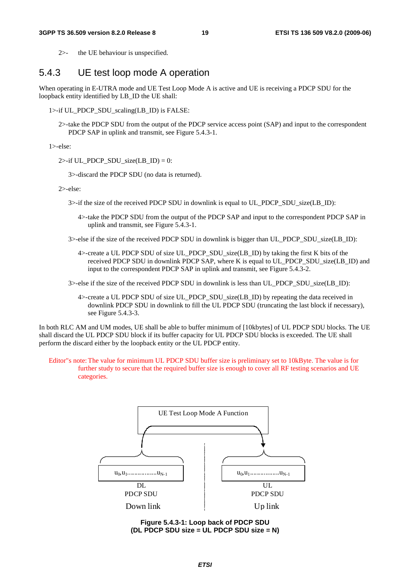2>- the UE behaviour is unspecified.

### 5.4.3 UE test loop mode A operation

When operating in E-UTRA mode and UE Test Loop Mode A is active and UE is receiving a PDCP SDU for the loopback entity identified by LB ID the UE shall:

1>-if UL\_PDCP\_SDU\_scaling(LB\_ID) is FALSE:

2>- take the PDCP SDU from the output of the PDCP service access point (SAP) and input to the correspondent PDCP SAP in uplink and transmit, see Figure 5.4.3-1.

1>- else:

2>-if UL\_PDCP\_SDU\_size(LB\_ID) = 0:

3>- discard the PDCP SDU (no data is returned).

2>- else:

- $3$  if the size of the received PDCP SDU in downlink is equal to UL\_PDCP\_SDU\_size(LB\_ID):
	- 4>- take the PDCP SDU from the output of the PDCP SAP and input to the correspondent PDCP SAP in uplink and transmit, see Figure 5.4.3-1.
- 3>-else if the size of the received PDCP SDU in downlink is bigger than UL\_PDCP\_SDU\_size(LB\_ID):
	- 4>-create a UL PDCP SDU of size UL PDCP SDU size(LB ID) by taking the first K bits of the received PDCP SDU in downlink PDCP SAP, where K is equal to UL\_PDCP\_SDU\_size(LB\_ID) and input to the correspondent PDCP SAP in uplink and transmit, see Figure 5.4.3-2.

3>- else if the size of the received PDCP SDU in downlink is less than UL\_PDCP\_SDU\_size(LB\_ID):

4>- create a UL PDCP SDU of size UL\_PDCP\_SDU\_size(LB\_ID) by repeating the data received in downlink PDCP SDU in downlink to fill the UL PDCP SDU (truncating the last block if necessary), see Figure 5.4.3-3.

In both RLC AM and UM modes, UE shall be able to buffer minimum of [10kbytes] of UL PDCP SDU blocks. The UE shall discard the UL PDCP SDU block if its buffer capacity for UL PDCP SDU blocks is exceeded. The UE shall perform the discard either by the loopback entity or the UL PDCP entity.

Editor"s note: The value for minimum UL PDCP SDU buffer size is preliminary set to 10kByte. The value is for further study to secure that the required buffer size is enough to cover all RF testing scenarios and UE categories.



**Figure 5.4.3-1: Loop back of PDCP SDU (DL PDCP SDU size = UL PDCP SDU size = N)**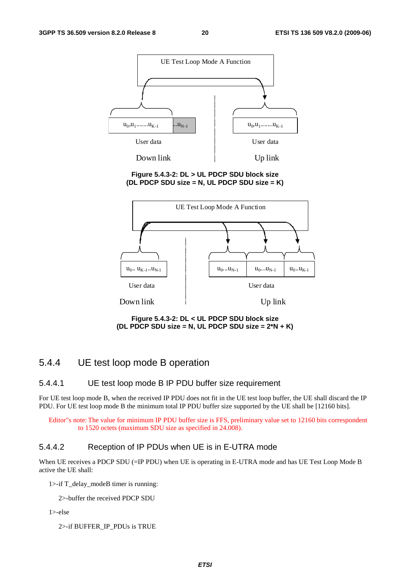

#### **Figure 5.4.3-2: DL > UL PDCP SDU block size (DL PDCP SDU size = N, UL PDCP SDU size = K)**



**Figure 5.4.3-2: DL < UL PDCP SDU block size (DL PDCP SDU size = N, UL PDCP SDU size = 2\*N + K)** 

### 5.4.4 UE test loop mode B operation

#### 5.4.4.1 UE test loop mode B IP PDU buffer size requirement

For UE test loop mode B, when the received IP PDU does not fit in the UE test loop buffer, the UE shall discard the IP PDU. For UE test loop mode B the minimum total IP PDU buffer size supported by the UE shall be [12160 bits].

Editor"s note: The value for minimum IP PDU buffer size is FFS, preliminary value set to 12160 bits correspondent to 1520 octets (maximum SDU size as specified in 24.008).

#### 5.4.4.2 Reception of IP PDUs when UE is in E-UTRA mode

When UE receives a PDCP SDU (=IP PDU) when UE is operating in E-UTRA mode and has UE Test Loop Mode B active the UE shall:

1>-if T\_delay\_modeB timer is running:

2>- buffer the received PDCP SDU

1>- else

2>- if BUFFER\_IP\_PDUs is TRUE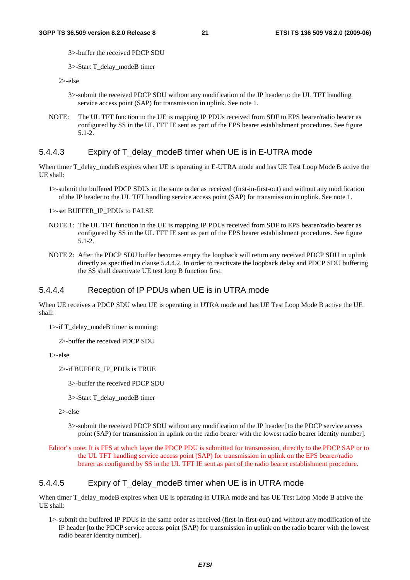3>- buffer the received PDCP SDU

3>- Start T\_delay\_modeB timer

 $2$  > -else

- 3>- submit the received PDCP SDU without any modification of the IP header to the UL TFT handling service access point (SAP) for transmission in uplink. See note 1.
- NOTE: The UL TFT function in the UE is mapping IP PDUs received from SDF to EPS bearer/radio bearer as configured by SS in the UL TFT IE sent as part of the EPS bearer establishment procedures. See figure 5.1-2.

#### 5.4.4.3 Expiry of T\_delay\_modeB timer when UE is in E-UTRA mode

When timer T\_delay\_modeB expires when UE is operating in E-UTRA mode and has UE Test Loop Mode B active the UE shall:

1>- submit the buffered PDCP SDUs in the same order as received (first-in-first-out) and without any modification of the IP header to the UL TFT handling service access point (SAP) for transmission in uplink. See note 1.

1>- set BUFFER\_IP\_PDUs to FALSE

- NOTE 1: The UL TFT function in the UE is mapping IP PDUs received from SDF to EPS bearer/radio bearer as configured by SS in the UL TFT IE sent as part of the EPS bearer establishment procedures. See figure 5.1-2.
- NOTE 2: After the PDCP SDU buffer becomes empty the loopback will return any received PDCP SDU in uplink directly as specified in clause 5.4.4.2. In order to reactivate the loopback delay and PDCP SDU buffering the SS shall deactivate UE test loop B function first.

#### 5.4.4.4 Reception of IP PDUs when UE is in UTRA mode

When UE receives a PDCP SDU when UE is operating in UTRA mode and has UE Test Loop Mode B active the UE shall:

1>- if T\_delay\_modeB timer is running:

2>- buffer the received PDCP SDU

1>- else

2>- if BUFFER\_IP\_PDUs is TRUE

3>- buffer the received PDCP SDU

3>- Start T\_delay\_modeB timer

2>- else

3>- submit the received PDCP SDU without any modification of the IP header [to the PDCP service access point (SAP) for transmission in uplink on the radio bearer with the lowest radio bearer identity number].

Editor"s note: It is FFS at which layer the PDCP PDU is submitted for transmission, directly to the PDCP SAP or to the UL TFT handling service access point (SAP) for transmission in uplink on the EPS bearer/radio bearer as configured by SS in the UL TFT IE sent as part of the radio bearer establishment procedure.

#### 5.4.4.5 Expiry of T\_delay\_modeB timer when UE is in UTRA mode

When timer T\_delay\_modeB expires when UE is operating in UTRA mode and has UE Test Loop Mode B active the UE shall:

1>- submit the buffered IP PDUs in the same order as received (first-in-first-out) and without any modification of the IP header [to the PDCP service access point (SAP) for transmission in uplink on the radio bearer with the lowest radio bearer identity number].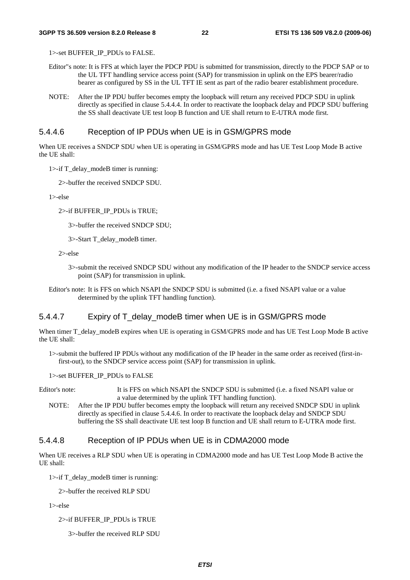1>- set BUFFER\_IP\_PDUs to FALSE.

- Editor"s note: It is FFS at which layer the PDCP PDU is submitted for transmission, directly to the PDCP SAP or to the UL TFT handling service access point (SAP) for transmission in uplink on the EPS bearer/radio bearer as configured by SS in the UL TFT IE sent as part of the radio bearer establishment procedure.
- NOTE: After the IP PDU buffer becomes empty the loopback will return any received PDCP SDU in uplink directly as specified in clause 5.4.4.4. In order to reactivate the loopback delay and PDCP SDU buffering the SS shall deactivate UE test loop B function and UE shall return to E-UTRA mode first.

#### 5.4.4.6 Reception of IP PDUs when UE is in GSM/GPRS mode

When UE receives a SNDCP SDU when UE is operating in GSM/GPRS mode and has UE Test Loop Mode B active the UE shall:

1>- if T\_delay\_modeB timer is running:

2>- buffer the received SNDCP SDU.

1>-else

2>-if BUFFER\_IP\_PDUs is TRUE;

3>- buffer the received SNDCP SDU;

3>- Start T\_delay\_modeB timer.

2>-else

- 3>- submit the received SNDCP SDU without any modification of the IP header to the SNDCP service access point (SAP) for transmission in uplink.
- Editor's note: It is FFS on which NSAPI the SNDCP SDU is submitted (i.e. a fixed NSAPI value or a value determined by the uplink TFT handling function).

#### 5.4.4.7 Expiry of T\_delay\_modeB timer when UE is in GSM/GPRS mode

When timer T\_delay\_modeB expires when UE is operating in GSM/GPRS mode and has UE Test Loop Mode B active the UE shall:

1>- submit the buffered IP PDUs without any modification of the IP header in the same order as received (first-infirst-out), to the SNDCP service access point (SAP) for transmission in uplink.

1>- set BUFFER\_IP\_PDUs to FALSE

Editor's note: It is FFS on which NSAPI the SNDCP SDU is submitted (i.e. a fixed NSAPI value or a value determined by the uplink TFT handling function).

NOTE: After the IP PDU buffer becomes empty the loopback will return any received SNDCP SDU in uplink directly as specified in clause 5.4.4.6. In order to reactivate the loopback delay and SNDCP SDU buffering the SS shall deactivate UE test loop B function and UE shall return to E-UTRA mode first.

#### 5.4.4.8 Reception of IP PDUs when UE is in CDMA2000 mode

When UE receives a RLP SDU when UE is operating in CDMA2000 mode and has UE Test Loop Mode B active the UE shall:

1>- if T\_delay\_modeB timer is running:

2>- buffer the received RLP SDU

 $1$ >-else

2>- if BUFFER\_IP\_PDUs is TRUE

3>- buffer the received RLP SDU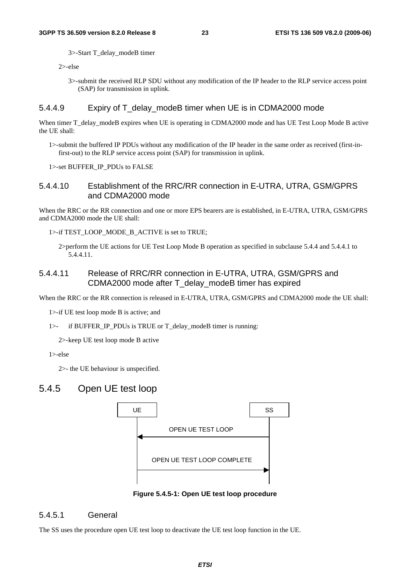3>- Start T\_delay\_modeB timer

 $2$  > -else

3>- submit the received RLP SDU without any modification of the IP header to the RLP service access point (SAP) for transmission in uplink.

#### 5.4.4.9 Expiry of T\_delay\_modeB timer when UE is in CDMA2000 mode

When timer T\_delay\_modeB expires when UE is operating in CDMA2000 mode and has UE Test Loop Mode B active the UE shall:

1>- submit the buffered IP PDUs without any modification of the IP header in the same order as received (first-infirst-out) to the RLP service access point (SAP) for transmission in uplink.

1>- set BUFFER\_IP\_PDUs to FALSE

#### 5.4.4.10 Establishment of the RRC/RR connection in E-UTRA, UTRA, GSM/GPRS and CDMA2000 mode

When the RRC or the RR connection and one or more EPS bearers are is established, in E-UTRA, UTRA, GSM/GPRS and CDMA2000 mode the UE shall:

1>-if TEST\_LOOP\_MODE\_B\_ACTIVE is set to TRUE;

2>perform the UE actions for UE Test Loop Mode B operation as specified in subclause 5.4.4 and 5.4.4.1 to 5.4.4.11.

#### 5.4.4.11 Release of RRC/RR connection in E-UTRA, UTRA, GSM/GPRS and CDMA2000 mode after T\_delay\_modeB timer has expired

When the RRC or the RR connection is released in E-UTRA, UTRA, GSM/GPRS and CDMA2000 mode the UE shall:

1>- if UE test loop mode B is active; and

1>- if BUFFER\_IP\_PDUs is TRUE or T\_delay\_modeB timer is running:

2>- keep UE test loop mode B active

1>-else

2>- the UE behaviour is unspecified.

### 5.4.5 Open UE test loop



**Figure 5.4.5-1: Open UE test loop procedure** 

#### 5.4.5.1 General

The SS uses the procedure open UE test loop to deactivate the UE test loop function in the UE.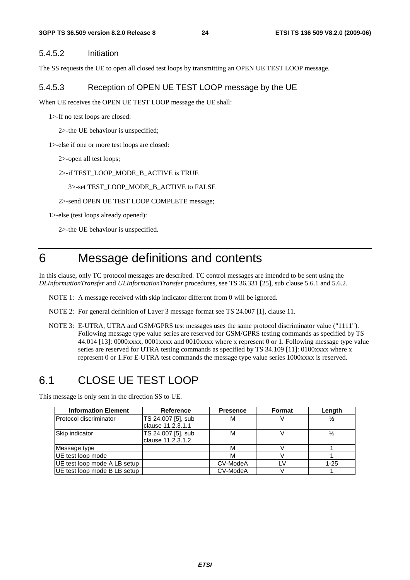#### 5.4.5.2 Initiation

The SS requests the UE to open all closed test loops by transmitting an OPEN UE TEST LOOP message.

#### 5.4.5.3 Reception of OPEN UE TEST LOOP message by the UE

When UE receives the OPEN UE TEST LOOP message the UE shall:

1>- If no test loops are closed:

2>- the UE behaviour is unspecified;

1>-else if one or more test loops are closed:

2>- open all test loops;

2>- if TEST\_LOOP\_MODE\_B\_ACTIVE is TRUE

#### 3>- set TEST\_LOOP\_MODE\_B\_ACTIVE to FALSE

2>- send OPEN UE TEST LOOP COMPLETE message;

1>-else (test loops already opened):

2>- the UE behaviour is unspecified.

# 6 Message definitions and contents

In this clause, only TC protocol messages are described. TC control messages are intended to be sent using the *DLInformationTransfer* and *ULInformationTransfer* procedures, see TS 36.331 [25], sub clause 5.6.1 and 5.6.2.

- NOTE 1: A message received with skip indicator different from 0 will be ignored.
- NOTE 2: For general definition of Layer 3 message format see TS 24.007 [1], clause 11.
- NOTE 3: E-UTRA, UTRA and GSM/GPRS test messages uses the same protocol discriminator value ("1111"). Following message type value series are reserved for GSM/GPRS testing commands as specified by TS 44.014 [13]: 0000xxxx, 0001xxxx and 0010xxxx where x represent 0 or 1. Following message type value series are reserved for UTRA testing commands as specified by TS 34.109 [11]: 0100xxxx where x represent 0 or 1.For E-UTRA test commands the message type value series 1000xxxx is reserved.

### 6.1 CLOSE UE TEST LOOP

This message is only sent in the direction SS to UE.

| <b>Information Element</b>   | <b>Reference</b>                        | <b>Presence</b> | <b>Format</b> | Length        |
|------------------------------|-----------------------------------------|-----------------|---------------|---------------|
| Protocol discriminator       | TS 24.007 [5], sub<br>clause 11.2.3.1.1 | M               |               | $\frac{1}{2}$ |
| Skip indicator               | TS 24.007 [5], sub<br>clause 11.2.3.1.2 | M               |               |               |
| Message type                 |                                         | м               |               |               |
| UE test loop mode            |                                         | M               |               |               |
| UE test loop mode A LB setup |                                         | CV-ModeA        |               | $1 - 25$      |
| UE test loop mode B LB setup |                                         | CV-ModeA        |               |               |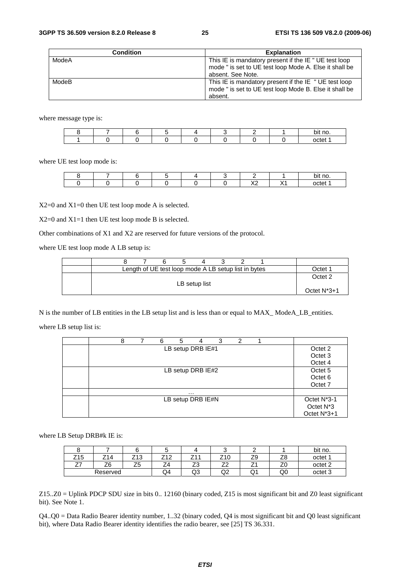| <b>Condition</b> | <b>Explanation</b>                                                                                                                   |
|------------------|--------------------------------------------------------------------------------------------------------------------------------------|
| ModeA            | This IE is mandatory present if the IE " UE test loop<br>mode " is set to UE test loop Mode A. Else it shall be<br>absent. See Note. |
| ModeB            | This IE is mandatory present if the IE " UE test loop<br>mode " is set to UE test loop Mode B. Else it shall be<br>absent.           |

where message type is:

|  |  |  |  | no.<br>. .<br>יונ |
|--|--|--|--|-------------------|
|  |  |  |  |                   |

where UE test loop mode is:

|  |  |  |                  |   | bit no. |
|--|--|--|------------------|---|---------|
|  |  |  | $\sqrt{2}$<br>^4 | . | octet   |

X2=0 and X1=0 then UE test loop mode A is selected.

X2=0 and X1=1 then UE test loop mode B is selected.

Other combinations of X1 and X2 are reserved for future versions of the protocol.

where UE test loop mode A LB setup is:

|  |  | Length of UE test loop mode A LB setup list in bytes |  |  | )ctet              |
|--|--|------------------------------------------------------|--|--|--------------------|
|  |  | LB setup list                                        |  |  | Octet <sub>2</sub> |
|  |  |                                                      |  |  | Octet $N^*3+1$     |

N is the number of LB entities in the LB setup list and is less than or equal to MAX\_ ModeA\_LB\_entities.

where LB setup list is:

|  | 8 | 6 | 5 | 4                 | 3 | 2 |  |                          |
|--|---|---|---|-------------------|---|---|--|--------------------------|
|  |   |   |   | LB setup DRB IE#1 |   |   |  | Octet 2                  |
|  |   |   |   |                   |   |   |  | Octet <sub>3</sub>       |
|  |   |   |   |                   |   |   |  | Octet 4                  |
|  |   |   |   | LB setup DRB IE#2 |   |   |  | Octet <sub>5</sub>       |
|  |   |   |   |                   |   |   |  | Octet <sub>6</sub>       |
|  |   |   |   |                   |   |   |  | Octet 7                  |
|  |   |   |   | $\cdots$          |   |   |  |                          |
|  |   |   |   | LB setup DRB IE#N |   |   |  | Octet N <sup>*</sup> 3-1 |
|  |   |   |   |                   |   |   |  | Octet N <sup>*</sup> 3   |
|  |   |   |   |                   |   |   |  | Octet N*3+1              |

where LB Setup DRB#k IE is:

|            |          |                 |                           |                                |                                |             |                                | bit no.            |
|------------|----------|-----------------|---------------------------|--------------------------------|--------------------------------|-------------|--------------------------------|--------------------|
| Z15        | Z14      | '13<br><u>_</u> | 712<br>$\sim$<br><u>.</u> | 744<br><u>.</u>                | Z10                            | ⇁<br>้<br>ت | 70<br>∠c                       | octet 1            |
| <u>_ 1</u> | Z6       | フロ<br>ںے        | -<br>╌                    | $\overline{\phantom{a}}$<br>ںے | $\overline{\phantom{a}}$<br>__ | -<br>$\sim$ | $\overline{\phantom{a}}$<br>ΖU | octet <sub>2</sub> |
|            | Reserved |                 | Q4                        | Q3                             | ∩ว<br>◡                        | Q١          | Q0                             | octet <sub>3</sub> |

Z15..Z0 = Uplink PDCP SDU size in bits 0.. 12160 (binary coded, Z15 is most significant bit and Z0 least significant bit). See Note 1.

Q4..Q0 = Data Radio Bearer identity number, 1..32 (binary coded, Q4 is most significant bit and Q0 least significant bit), where Data Radio Bearer identity identifies the radio bearer, see [25] TS 36.331.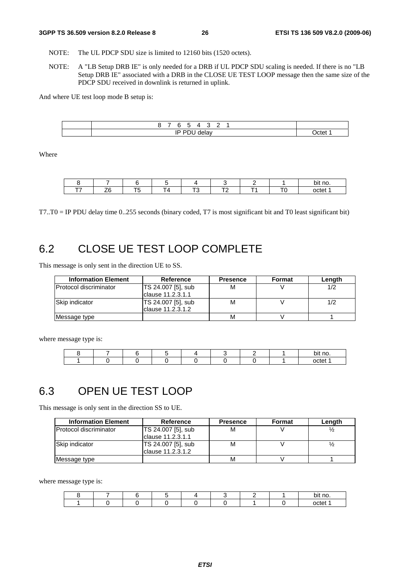- NOTE: The UL PDCP SDU size is limited to 12160 bits (1520 octets).
- NOTE: A "LB Setup DRB IE" is only needed for a DRB if UL PDCP SDU scaling is needed. If there is no "LB Setup DRB IE" associated with a DRB in the CLOSE UE TEST LOOP message then the same size of the PDCP SDU received in downlink is returned in uplink.

And where UE test loop mode B setup is:

| д<br>∽<br>w<br>- |       |
|------------------|-------|
| סו<br>delav<br>  | )ctet |

Where

|  |  |        |                                                | bit no. |
|--|--|--------|------------------------------------------------|---------|
|  |  | $\sim$ | <b>The Contract Contract Contract Contract</b> | octet   |

T7..T0 = IP PDU delay time 0..255 seconds (binary coded, T7 is most significant bit and T0 least significant bit)

### 6.2 CLOSE UE TEST LOOP COMPLETE

This message is only sent in the direction UE to SS.

| <b>Information Element</b>    | Reference          | <b>Presence</b> | Format | Length |
|-------------------------------|--------------------|-----------------|--------|--------|
| <b>Protocol discriminator</b> | TS 24.007 [5], sub | М               |        |        |
|                               | clause 11.2.3.1.1  |                 |        |        |
| Skip indicator                | TS 24.007 [5], sub | M               |        | 1/2    |
|                               | Iclause 11.2.3.1.2 |                 |        |        |
| Message type                  |                    | М               |        |        |

where message type is:

|  |  |  |  | bit no |
|--|--|--|--|--------|
|  |  |  |  | nctet  |

# 6.3 OPEN UE TEST LOOP

This message is only sent in the direction SS to UE.

| <b>Information Element</b> | Reference                                | <b>Presence</b> | Format | Length |
|----------------------------|------------------------------------------|-----------------|--------|--------|
| Protocol discriminator     | TS 24.007 [5], sub<br>clause 11.2.3.1.1  | М               |        |        |
| Skip indicator             | TS 24.007 [5], sub<br>lclause 11.2.3.1.2 | M               |        |        |
| Message type               |                                          | М               |        |        |

where message type is:

|  |  |  |  | * no.<br>bit |
|--|--|--|--|--------------|
|  |  |  |  | octet        |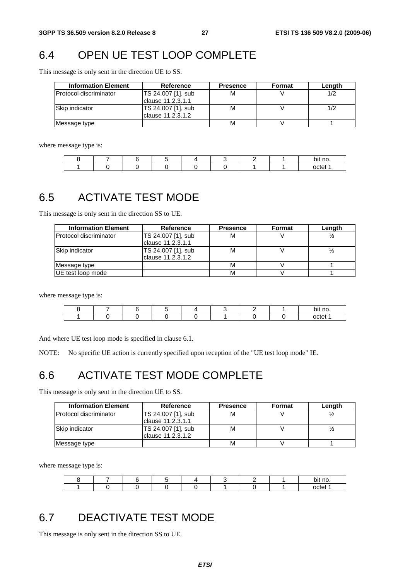# 6.4 OPEN UE TEST LOOP COMPLETE

This message is only sent in the direction UE to SS.

| <b>Information Element</b>     | <b>Reference</b>                         | <b>Presence</b> | Format | Length |  |
|--------------------------------|------------------------------------------|-----------------|--------|--------|--|
| <b>IProtocol discriminator</b> | TS 24.007 [1], sub<br>Iclause 11.2.3.1.1 | м               |        | 1/2    |  |
| Skip indicator                 | TS 24.007 [1], sub<br>Iclause 11.2.3.1.2 | м               |        |        |  |
| Message type                   |                                          | M               |        |        |  |

where message type is:

|  |  |  |  | bit no |
|--|--|--|--|--------|
|  |  |  |  | nctet  |

# 6.5 ACTIVATE TEST MODE

This message is only sent in the direction SS to UE.

| <b>Information Element</b> | <b>Reference</b>   | <b>Presence</b> | Format | Length |
|----------------------------|--------------------|-----------------|--------|--------|
| Protocol discriminator     | TS 24.007 [1], sub | M               |        |        |
|                            | clause 11.2.3.1.1  |                 |        |        |
| Skip indicator             | TS 24.007 [1], sub | М               |        |        |
|                            | clause 11.2.3.1.2  |                 |        |        |
| Message type               |                    | М               |        |        |
| UE test loop mode          |                    | М               |        |        |

where message type is:

|  |  |  |  | bit no. |
|--|--|--|--|---------|
|  |  |  |  | nctet   |

And where UE test loop mode is specified in clause 6.1.

NOTE: No specific UE action is currently specified upon reception of the "UE test loop mode" IE.

# 6.6 ACTIVATE TEST MODE COMPLETE

This message is only sent in the direction UE to SS.

| <b>Information Element</b>     | Reference          | <b>Presence</b> | Format | Length |
|--------------------------------|--------------------|-----------------|--------|--------|
| <b>IProtocol discriminator</b> | TS 24.007 [1], sub | М               |        |        |
|                                | clause 11.2.3.1.1  |                 |        |        |
| Skip indicator                 | TS 24.007 [1], sub | м               |        |        |
|                                | Iclause 11.2.3.1.2 |                 |        |        |
| Message type                   |                    | м               |        |        |

where message type is:

|  |  |  |  | bit no                             |
|--|--|--|--|------------------------------------|
|  |  |  |  | $\sim$ $\sim$ $\sim$ $\sim$<br>٦Д. |

# 6.7 DEACTIVATE TEST MODE

This message is only sent in the direction SS to UE.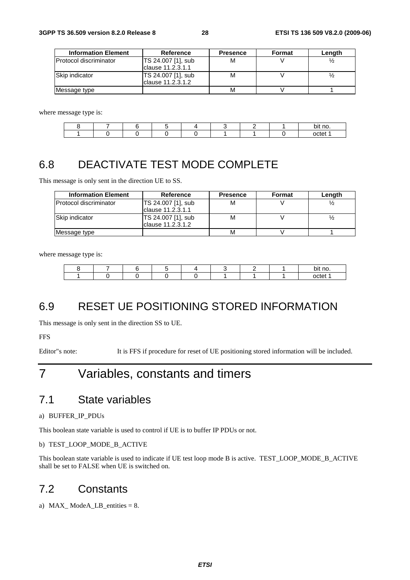| <b>Information Element</b> | Reference                                | <b>Presence</b> | Format | Length |  |
|----------------------------|------------------------------------------|-----------------|--------|--------|--|
| lProtocol discriminator    | TS 24.007 [1], sub<br>clause 11.2.3.1.1  | М               |        |        |  |
| Skip indicator             | TS 24.007 [1], sub<br>Iclause 11.2.3.1.2 | м               |        |        |  |
| Message type               |                                          | м               |        |        |  |

where message type is:

|  |  |  |  | bit no. |
|--|--|--|--|---------|
|  |  |  |  | וAct    |

# 6.8 DEACTIVATE TEST MODE COMPLETE

This message is only sent in the direction UE to SS.

| <b>Information Element</b>    | Reference          | <b>Presence</b> | Format | Length |
|-------------------------------|--------------------|-----------------|--------|--------|
| <b>Protocol discriminator</b> | TS 24.007 [1], sub | М               |        |        |
|                               | clause 11.2.3.1.1  |                 |        |        |
| <b>Skip indicator</b>         | TS 24.007 [1], sub | М               |        |        |
|                               | Iclause 11.2.3.1.2 |                 |        |        |
| Message type                  |                    | М               |        |        |

where message type is:

|  |  |  |  | bit no. |  |
|--|--|--|--|---------|--|
|  |  |  |  |         |  |

# 6.9 RESET UE POSITIONING STORED INFORMATION

This message is only sent in the direction SS to UE.

**FFS** 

Editor"s note: It is FFS if procedure for reset of UE positioning stored information will be included.

# 7 Variables, constants and timers

### 7.1 State variables

a) BUFFER\_IP\_PDUs

This boolean state variable is used to control if UE is to buffer IP PDUs or not.

b) TEST\_LOOP\_MODE\_B\_ACTIVE

This boolean state variable is used to indicate if UE test loop mode B is active. TEST\_LOOP\_MODE\_B\_ACTIVE shall be set to FALSE when UE is switched on.

### 7.2 Constants

a) MAX\_ ModeA\_LB\_entities = 8.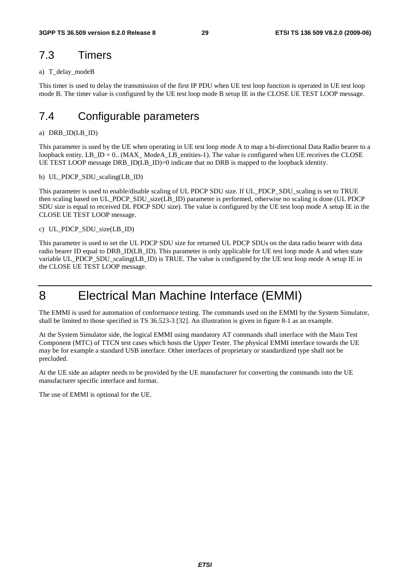### 7.3 Timers

#### a) T\_delay\_modeB

This timer is used to delay the transmission of the first IP PDU when UE test loop function is operated in UE test loop mode B. The timer value is configured by the UE test loop mode B setup IE in the CLOSE UE TEST LOOP message.

# 7.4 Configurable parameters

#### a) DRB\_ID(LB\_ID)

This parameter is used by the UE when operating in UE test loop mode A to map a bi-directional Data Radio bearer to a loopback entity. LB  $ID = 0$ . (MAX\_ ModeA\_LB\_entities-1). The value is configured when UE receives the CLOSE UE TEST LOOP message DRB ID(LB ID)=0 indicate that no DRB is mapped to the loopback identity.

#### b) UL\_PDCP\_SDU\_scaling(LB\_ID)

This parameter is used to enable/disable scaling of UL PDCP SDU size. If UL PDCP SDU scaling is set to TRUE then scaling based on UL\_PDCP\_SDU\_size(LB\_ID) parameter is performed, otherwise no scaling is done (UL PDCP SDU size is equal to received DL PDCP SDU size). The value is configured by the UE test loop mode A setup IE in the CLOSE UE TEST LOOP message.

#### c) UL\_PDCP\_SDU\_size(LB\_ID)

This parameter is used to set the UL PDCP SDU size for returned UL PDCP SDUs on the data radio bearer with data radio bearer ID equal to DRB\_ID(LB\_ID). This parameter is only applicable for UE test loop mode A and when state variable UL\_PDCP\_SDU\_scaling(LB\_ID) is TRUE. The value is configured by the UE test loop mode A setup IE in the CLOSE UE TEST LOOP message.

# 8 Electrical Man Machine Interface (EMMI)

The EMMI is used for automation of conformance testing. The commands used on the EMMI by the System Simulator, shall be limited to those specified in TS 36.523-3 [32]. An illustration is given in figure 8-1 as an example.

At the System Simulator side, the logical EMMI using mandatory AT commands shall interface with the Main Test Component (MTC) of TTCN test cases which hosts the Upper Tester. The physical EMMI interface towards the UE may be for example a standard USB interface. Other interfaces of proprietary or standardized type shall not be precluded.

At the UE side an adapter needs to be provided by the UE manufacturer for converting the commands into the UE manufacturer specific interface and format.

The use of EMMI is optional for the UE.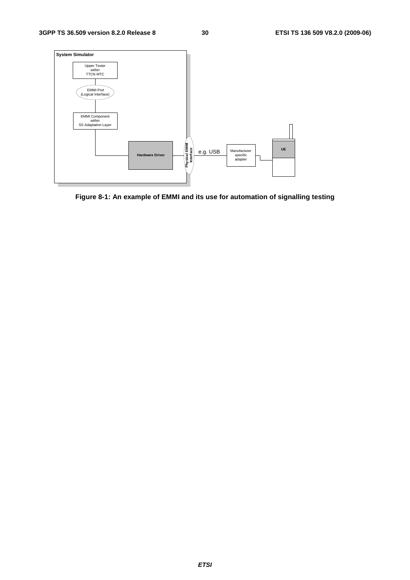

**Figure 8-1: An example of EMMI and its use for automation of signalling testing**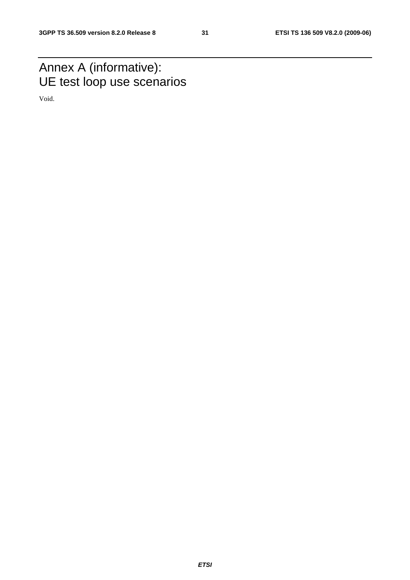# Annex A (informative): UE test loop use scenarios

Void.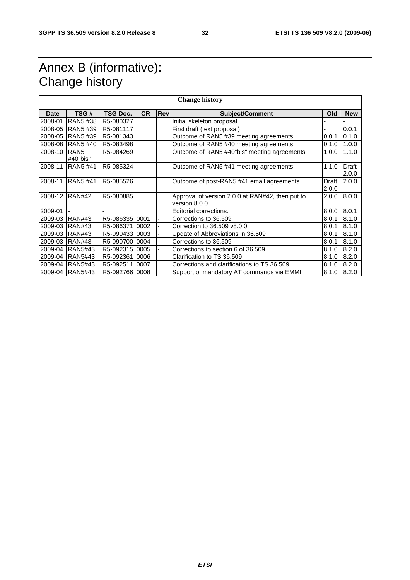# Annex B (informative): Change history

| <b>Change history</b> |                              |                 |           |            |                                                                    |                |                |
|-----------------------|------------------------------|-----------------|-----------|------------|--------------------------------------------------------------------|----------------|----------------|
| <b>Date</b>           | TSG#                         | <b>TSG Doc.</b> | <b>CR</b> | <b>Rev</b> | <b>Subject/Comment</b>                                             | Old            | <b>New</b>     |
| 2008-01               | RAN5 #38                     | R5-080327       |           |            | Initial skeleton proposal                                          |                |                |
| 2008-05               | RAN5 #39                     | R5-081117       |           |            | First draft (text proposal)                                        |                | 0.0.1          |
| 2008-05               | RAN5 #39                     | R5-081343       |           |            | Outcome of RAN5 #39 meeting agreements                             | 0.0.1          | 0.1.0          |
| 2008-08               | <b>RAN5#40</b>               | R5-083498       |           |            | Outcome of RAN5 #40 meeting agreements                             | 0.1.0          | 1.0.0          |
| 2008-10               | RAN <sub>5</sub><br>#40"bis" | R5-084269       |           |            | Outcome of RAN5 #40"bis" meeting agreements                        | 1.0.0          | 1.1.0          |
| 2008-11               | <b>RAN5 #41</b>              | R5-085324       |           |            | Outcome of RAN5 #41 meeting agreements                             | 1.1.0          | Draft<br>2.0.0 |
| 2008-11               | <b>RAN5#41</b>               | R5-085526       |           |            | Outcome of post-RAN5 #41 email agreements                          | Draft<br>2.0.0 | 2.0.0          |
| 2008-12               | IRAN#42                      | R5-080885       |           |            | Approval of version 2.0.0 at RAN#42, then put to<br>version 8.0.0. | 2.0.0          | 8.0.0          |
| 2009-01               |                              |                 |           |            | Editorial corrections.                                             | 8.0.0          | 8.0.1          |
| 2009-03               | <b>RAN#43</b>                | R5-08633510001  |           |            | Corrections to 36,509                                              | 8.0.1          | 8.1.0          |
| 2009-03               | <b>RAN#43</b>                | R5-086371 0002  |           |            | Correction to 36.509 v8.0.0                                        | 8.0.1          | 8.1.0          |
| 2009-03               | <b>RAN#43</b>                | R5-090433 0003  |           |            | Update of Abbreviations in 36.509                                  | 8.0.1          | 8.1.0          |
| 2009-03               | <b>RAN#43</b>                | R5-09070010004  |           |            | Corrections to 36.509                                              | 8.0.1          | 8.1.0          |
| 2009-04               | <b>RAN5#43</b>               | R5-092315 0005  |           |            | Corrections to section 6 of 36.509.                                | 8.1.0          | 8.2.0          |
|                       | 2009-04 RAN5#43              | R5-092361 0006  |           |            | Clarification to TS 36.509                                         | 8.1.0          | 8.2.0          |
| 2009-04               | <b>RAN5#43</b>               | R5-092511 0007  |           |            | Corrections and clarifications to TS 36.509                        | 8.1.0          | 8.2.0          |
|                       | 2009-04 RAN5#43              | R5-092766 0008  |           |            | Support of mandatory AT commands via EMMI                          | 8.1.0          | 8.2.0          |